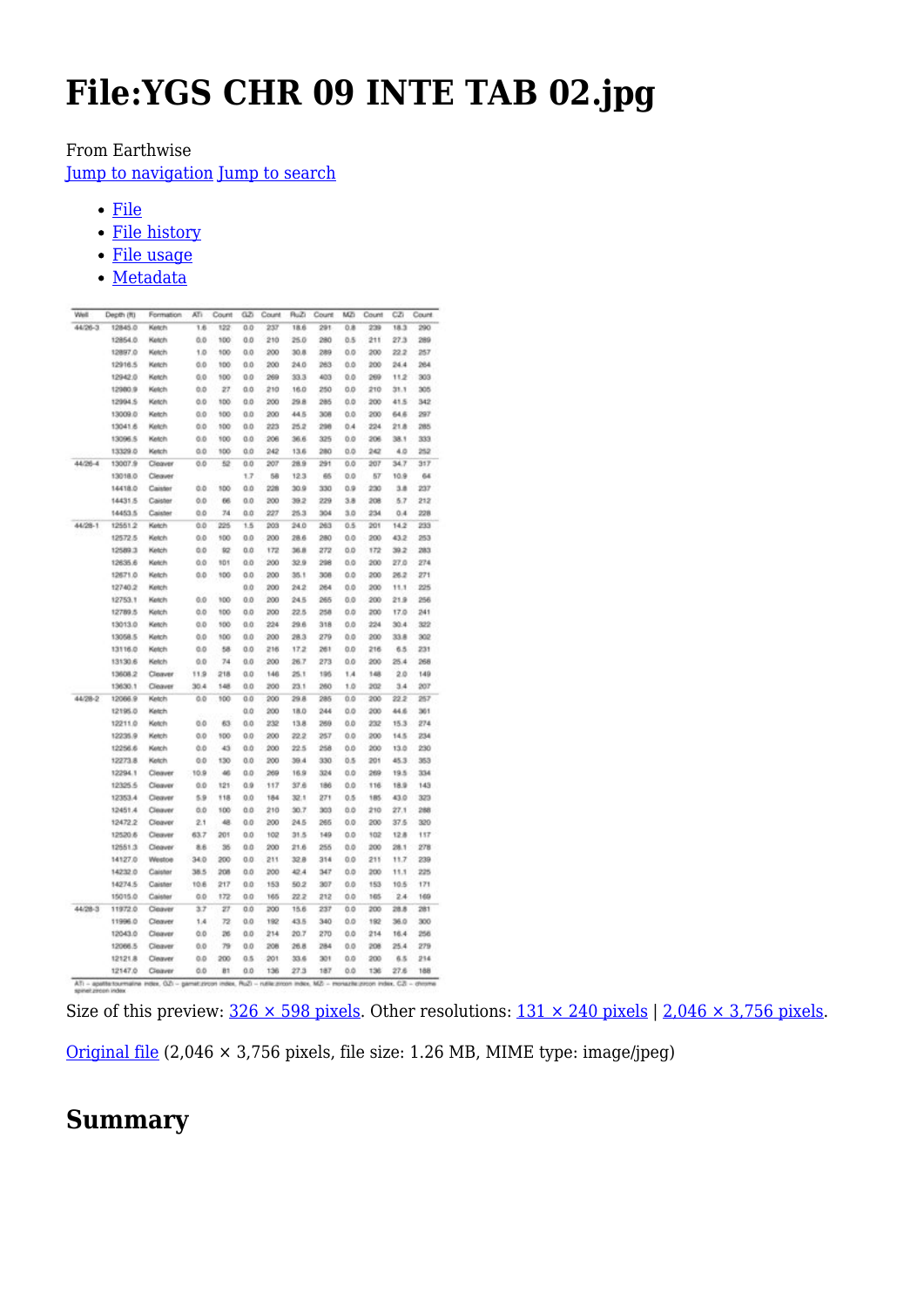# **File:YGS CHR 09 INTE TAB 02.jpg**

#### From Earthwise

[Jump to navigation](#page--1-0) [Jump to search](#page--1-0)

- [File](#page--1-0)
- [File history](#page--1-0)
- [File usage](#page--1-0)
- [Metadata](#page--1-0)

| Weil    | Depth (R) | Formation | ATI   | Count | αz  | Count | RuZ  | Count | MZ  | Count | CZI  | Count |
|---------|-----------|-----------|-------|-------|-----|-------|------|-------|-----|-------|------|-------|
| 44/26-3 | 12845.0   | Ketch     | 1.6   | 122   | 0.0 | 237   | 18.6 | 291   | 0.8 | 239   | 18.3 | 290   |
|         | 12854.0   | Ketch     | 0.0   | 100   | 0.0 | 210   | 25.0 | 280   | 0.5 | 211   | 27.3 | 289   |
|         | 12897.0   | Ketch     | 1.0   | 100   | 0.0 | 200   | 30.8 | 289   | 0.0 | 200   | 22.2 | 257   |
|         | 12916.5   | Ketch     | 0.0   | 100   | 0.0 | 200   | 24.0 | 263   | 0.0 | 200   | 24.4 | 264   |
|         | 12942.0   | Ketch     | 0,0   | 100   | 0.0 | 269   | 33.3 | 403   | 0.0 | 269   | 11.2 | 303   |
|         | 12980.9   | Kelch     | 0.0   | 27    | 0.0 | 210   | 16.0 | 250   | 0.0 | 210   | 31.1 | 305   |
|         | 12994.5   | Ketch     | O.O   | 100   | 0.0 | 200   | 29.8 | 285   | 0.0 | 200   | 41.5 | 342   |
|         | 13009.0   | Ketch     | 0.0   | 100   | 0.0 | 200   | 44.5 | 308   | 0.0 | 200   | 64.6 | 297   |
|         | 13041.6   | Ketch     | 0.0   | 100   | 0.0 | 223   | 25.2 | 296   | 0.4 | 224   | 21.8 | 285   |
|         | 13096.5   | Ketch     | 0.0   | 100   | 0.0 | 206   | 36.6 | 325   | 0.0 | 206   | 38.1 | 333   |
|         | 13329.0   | Ketch     | 0.0   | 100   | 0.0 | 242   | 13.6 | 280   | 0.0 | 242   | 4.0  | 252   |
| 44/26-4 | 13007.9   | Cleaver   | O.O   | 52    | 0.O | 207   | 28.9 | 291   | 0.0 | 207   | 34.7 | 317   |
|         | 13018.0   | Cleaver   |       |       | 1.7 | 58    | 12.3 | 65    | 0.0 | 57    | 10.9 | 64    |
|         | 14418.0   | Caister   | 0.0   | 100   | 0.0 | 228   | 30.9 | 330   | 0.9 | 230   | 3.8  | 237   |
|         | 14431.5   | Caister   | 0.0   | 66    | 0.0 | 200   | 39.2 | 229   | 3.8 | 208   | 5.7  | 212   |
|         | 14453.5   | Caister   | 0.0   | 74    | 0.0 | 227   | 25.3 | 304   | 3.0 | 234   | 0.4  | 228   |
| 44/28-1 | 12551.2   | Ketch     | 0.D   | 225   | 1.5 | 203   | 24.0 | 263   | 0.5 | 201   | 14.2 | 233   |
|         | 12572.5   | Ketch     | 0.0   | 100   | 0.0 | 200   | 28.6 | 280   | 0.0 | 200   | 43.2 | 253   |
|         | 12589.3   | Ketch     | 0.0   | 92    | 0.O | 172   | 36.8 | 272   | 0.0 | 172   | 39.2 | 283   |
|         | 12635.6   | Ketch     | 0.0   | 101   | 0.0 | 200   | 32.9 | 298   | 0.0 | 200   | 27.0 | 274   |
|         | 12671.0   | Ketch     | 0.0   | 100   | 0.0 | 200   | 35.1 | 308   | 0.0 | 200   | 26.2 | 271   |
|         | 12740.2   | Ketch     |       |       | 0.0 | 200   | 24.2 | 264   | 0.0 | 200   | 11.1 | 225   |
|         | 12753.1   | Ketch     | 0.0   | 100   | 0.0 | 200   | 24.5 | 265   | 0.0 | 200   | 21.9 | 256   |
|         | 12789.5   | Ketch     | 0.0   | 100   | 0.0 | 200   | 22.5 | 258   | 0.0 | 200   | 17.0 | 241   |
|         | 13013.0   | Ketch     | 0.0   | 500   | 0.0 | 224   | 29.6 | 318   | 0.0 | 224   | 30.4 | 322   |
|         | 13058.5   | Ketch     | 0.0   | 100   | 0.0 | 200   | 28.3 | 279   | 0.0 | 200   | 33.8 | 302   |
|         | 13116.0   | Ketch     | $Q_0$ | 58    | 0.0 | 216   | 17.2 | 261   | 0.0 | 216   | 6.5  | 231   |
|         | 13130.6   | Ketch     | 0.0   | 74    | 0.0 | 200   | 26.7 | 273   | 0.0 | 200   | 26.4 | 268   |
|         | 13608.2   | Cleaver   | 11.9  | 218   | 0.0 | 146   | 25.1 | 195   | 1.4 | 148   | 2.0  | 149   |
|         | 13630.1   | Cleaver   | 30.4  | 148   | 0.0 | 200   | 23.1 | 260   | 1.0 | 202   | 3.4  | 207   |
| 44/28-2 | 12066.9   | Ketch     | 0.0   | 100   | 0.0 | 200   | 29.8 | 285   | 0.0 | 200   | 22.2 | 257   |
|         | 12195.0   | Ketch     |       |       | αa  | 200   | 18.0 | 244   | 0.0 | 200   | 44.6 | 361   |
|         | 12211.0   | Ketch     | 0.0   | 63    | 0.0 | 232   | 13.8 | 269   | 0.0 | 232   | 15.3 | 274   |
|         | 12235.9   | Ketch     | 0.0   | 100   | 0.0 | 200   | 22.2 | 257   | 0.0 | 200   | 14.5 | 234   |
|         | 12256.6   | Ketch     | 0.D   | 43    | 0.0 | 200   | 22.5 | 258   | 0.0 | 200   | 13.0 | 230   |
|         | 12273.8   | Ketch     | 0.D   | 130   | 0.0 | 200   | 39.4 | 330   | 0.5 | 201   | 45.3 | 353   |
|         | 12294.1   | Cleaver   | 10.9  | 46    | a a | 269   | 16.9 | 324   | 0.0 | 269   | 19.5 | 334   |
|         | 12325.5   | Cleaver   | 0.0   | 121   | 0.9 | 117   | 37.6 | 186   | 0.0 | 116   | 18.9 | 143   |
|         | 12353.4   | Cleaver   | 5.9   | 118   | 0.0 | 184   | 32.1 | 271   | 0.5 | 185   | 43.0 | 323   |
|         | 12451.4   | Cleaver   | 0.0   | 100   | 0.0 | 210   | 30.7 | 303   | 0.0 | 210   | 27.1 | 288   |
|         | 12472.2   | Cleaver   | 2.1   | 48    | 0.0 | 200   | 24.5 | 265   | 0.0 | 200   | 37.5 | 320   |
|         | 12520.6   | Cleaver   | 63.7  | 201   | 0.0 | 102   | 31.5 | 149   | 0.0 | 102   | 12.8 | 117   |
|         | 12551.3   | Cleaver   | 8.6   | 35    | 0.0 | 200   | 21.6 | 255   | 0.0 | 200   | 28.1 | 278   |
|         | 14127.0   | Westoe    | 34.0  | 200   | 0.0 | 211   | 32.8 | 314   | 0.0 | 211   | 11.7 | 239   |
|         | 14232.0   | Caister   | 38.5  | 208   | 0.0 | 200   | 42.4 | 147   | 0.0 | 200   | 11.1 | 225   |
|         | 14274.5   | Caister   | 10.6  | 217   | 0.0 | 153   | 50.2 | 307   | 0.0 | 153   | 10.5 | 171   |
|         | 15015.0   | Calster   | 0.0   | 172   | 0.0 | 165   | 22.2 | 212   | 0.0 | 165   | 2.4  | 169   |
| 44/28-3 | 11972.0   | Cleaver   | 3.7   | 27    | 0.0 | 200   | 15.6 | 237   | 0.0 | 200   | 28.8 | 281   |
|         | 11996.0   | Cleaver   | 1.4   | 72    | 0.0 | 192   | 43.5 | 340   | 0.0 | 192   | 36.0 | 300   |
|         | 12043.0   | Cleaver   | 0.0   | 26    | 0.0 | 214   | 20.7 | 270   | 0.0 | 214   | 16.4 | 256   |
|         | 12066.5   | Cleaver   | 0.0   | 79    | 0.0 | 208   | 26.8 | 284   | 0.0 | 208   | 25.4 | 279   |
|         | 12121.8   | Cleaver   | 0.0   | 200   | 0.5 | 201   | 33.6 | 301   | 0.0 | 200   | 6.5  | 214   |
|         | 12147.0   | Cleaneer  | 0.D   | B1    | 0.0 | 136   | 27.3 | 187   | 0.0 | 136   | 27.6 | 188   |

Size of this preview:  $326 \times 598$  pixels. Other resolutions:  $131 \times 240$  pixels | 2,046  $\times$  3,756 pixels.

[Original file](http://earthwise.bgs.ac.uk/images/7/79/YGS_CHR_09_INTE_TAB_02.jpg) (2,046 × 3,756 pixels, file size: 1.26 MB, MIME type: image/jpeg)

### **Summary**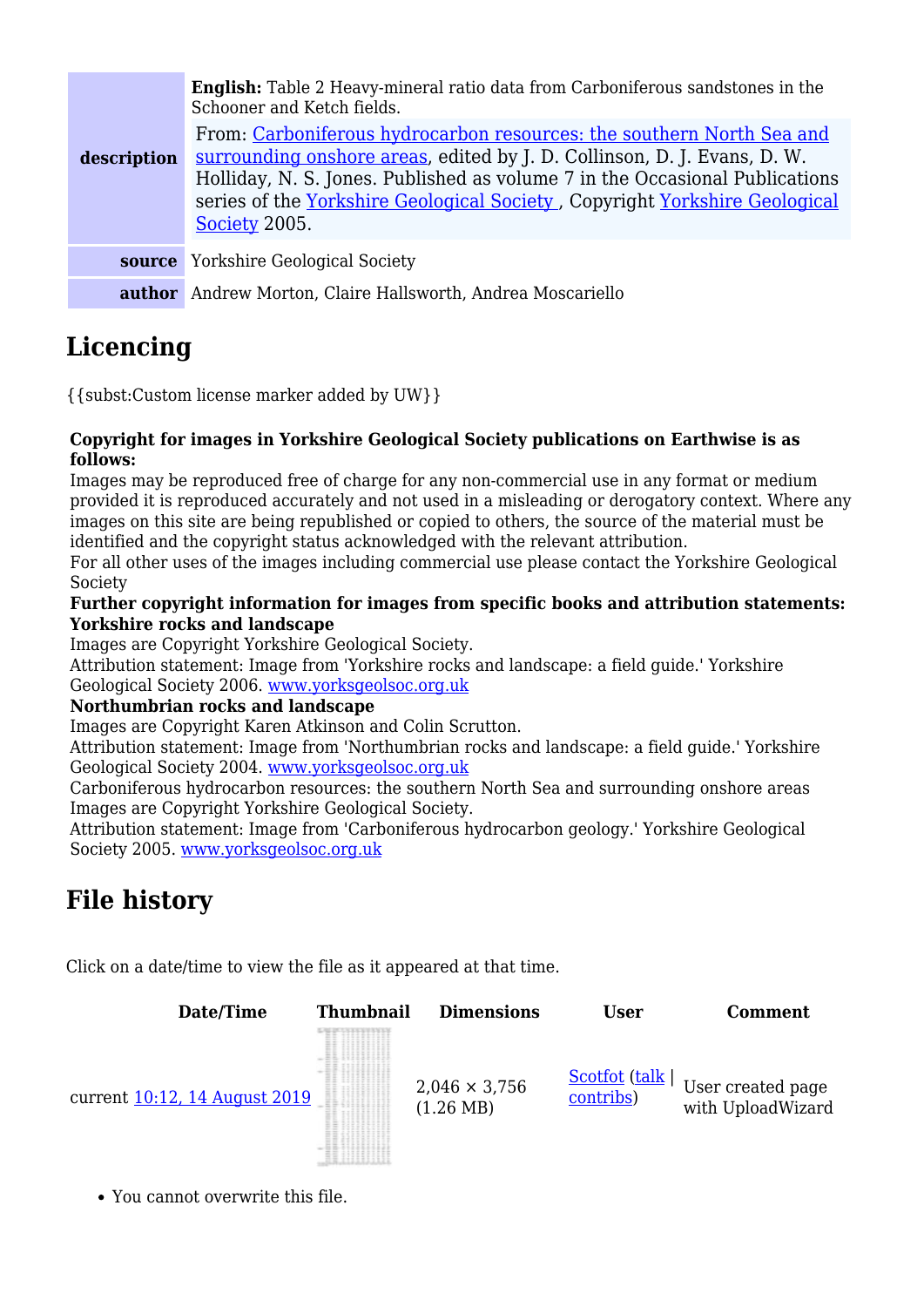| description | <b>English:</b> Table 2 Heavy-mineral ratio data from Carboniferous sandstones in the<br>Schooner and Ketch fields.<br>From: Carboniferous hydrocarbon resources: the southern North Sea and<br>surrounding onshore areas, edited by J. D. Collinson, D. J. Evans, D. W.<br>Holliday, N. S. Jones. Published as volume 7 in the Occasional Publications<br>series of the Yorkshire Geological Society, Copyright Yorkshire Geological<br>Society 2005. |
|-------------|--------------------------------------------------------------------------------------------------------------------------------------------------------------------------------------------------------------------------------------------------------------------------------------------------------------------------------------------------------------------------------------------------------------------------------------------------------|
|             | source Yorkshire Geological Society                                                                                                                                                                                                                                                                                                                                                                                                                    |
|             | <b>author</b> Andrew Morton, Claire Hallsworth, Andrea Moscariello                                                                                                                                                                                                                                                                                                                                                                                     |

# **Licencing**

{{subst:Custom license marker added by UW}}

#### **Copyright for images in Yorkshire Geological Society publications on Earthwise is as follows:**

Images may be reproduced free of charge for any non-commercial use in any format or medium provided it is reproduced accurately and not used in a misleading or derogatory context. Where any images on this site are being republished or copied to others, the source of the material must be identified and the copyright status acknowledged with the relevant attribution.

For all other uses of the images including commercial use please contact the Yorkshire Geological Society

#### **Further copyright information for images from specific books and attribution statements: Yorkshire rocks and landscape**

Images are Copyright Yorkshire Geological Society.

Attribution statement: Image from 'Yorkshire rocks and landscape: a field guide.' Yorkshire Geological Society 2006. [www.yorksgeolsoc.org.uk](http://www.yorksgeolsoc.org.uk)

#### **Northumbrian rocks and landscape**

Images are Copyright Karen Atkinson and Colin Scrutton.

Attribution statement: Image from 'Northumbrian rocks and landscape: a field guide.' Yorkshire Geological Society 2004. [www.yorksgeolsoc.org.uk](http://www.yorksgeolsoc.org.uk)

Carboniferous hydrocarbon resources: the southern North Sea and surrounding onshore areas Images are Copyright Yorkshire Geological Society.

Attribution statement: Image from 'Carboniferous hydrocarbon geology.' Yorkshire Geological Society 2005. [www.yorksgeolsoc.org.uk](http://www.yorksgeolsoc.org.uk)

## **File history**

Click on a date/time to view the file as it appeared at that time.



You cannot overwrite this file.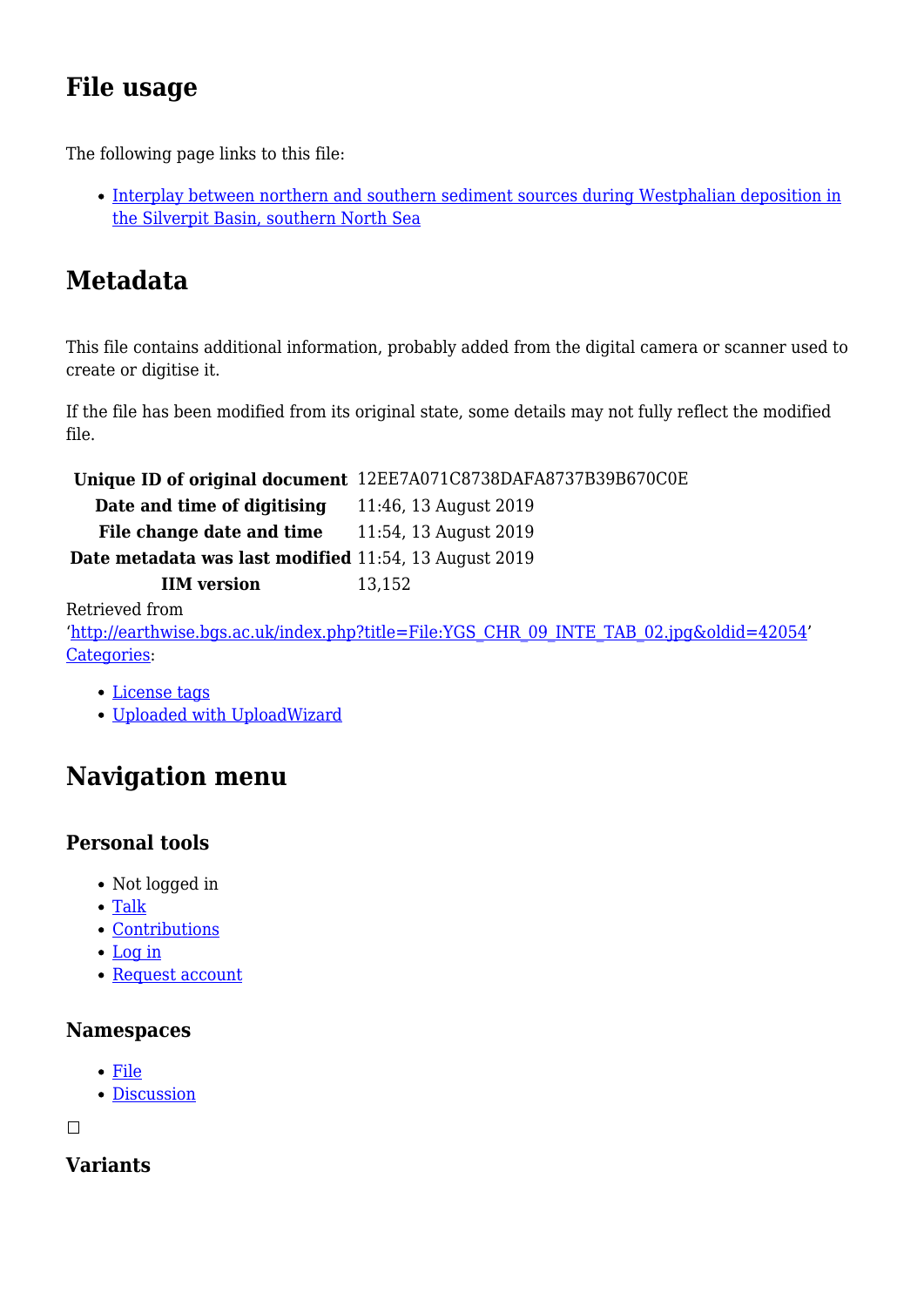# **File usage**

The following page links to this file:

[Interplay between northern and southern sediment sources during Westphalian deposition in](http://earthwise.bgs.ac.uk/index.php/Interplay_between_northern_and_southern_sediment_sources_during_Westphalian_deposition_in_the_Silverpit_Basin,_southern_North_Sea) [the Silverpit Basin, southern North Sea](http://earthwise.bgs.ac.uk/index.php/Interplay_between_northern_and_southern_sediment_sources_during_Westphalian_deposition_in_the_Silverpit_Basin,_southern_North_Sea)

# **Metadata**

This file contains additional information, probably added from the digital camera or scanner used to create or digitise it.

If the file has been modified from its original state, some details may not fully reflect the modified file.

**Unique ID of original document** 12EE7A071C8738DAFA8737B39B670C0E

**Date and time of digitising** 11:46, 13 August 2019 **File change date and time** 11:54, 13 August 2019

**Date metadata was last modified** 11:54, 13 August 2019

**IIM version** 13,152

Retrieved from

'[http://earthwise.bgs.ac.uk/index.php?title=File:YGS\\_CHR\\_09\\_INTE\\_TAB\\_02.jpg&oldid=42054](http://earthwise.bgs.ac.uk/index.php?title=File:YGS_CHR_09_INTE_TAB_02.jpg&oldid=42054)' [Categories:](http://earthwise.bgs.ac.uk/index.php/Special:Categories)

- [License tags](http://earthwise.bgs.ac.uk/index.php/Category:License_tags)
- [Uploaded with UploadWizard](http://earthwise.bgs.ac.uk/index.php/Category:Uploaded_with_UploadWizard)

# **Navigation menu**

### **Personal tools**

- Not logged in
- [Talk](http://earthwise.bgs.ac.uk/index.php/Special:MyTalk)
- [Contributions](http://earthwise.bgs.ac.uk/index.php/Special:MyContributions)
- [Log in](http://earthwise.bgs.ac.uk/index.php?title=Special:UserLogin&returnto=File%3AYGS+CHR+09+INTE+TAB+02.jpg&returntoquery=action%3Dmpdf)
- [Request account](http://earthwise.bgs.ac.uk/index.php/Special:RequestAccount)

#### **Namespaces**

- [File](http://earthwise.bgs.ac.uk/index.php/File:YGS_CHR_09_INTE_TAB_02.jpg)
- [Discussion](http://earthwise.bgs.ac.uk/index.php?title=File_talk:YGS_CHR_09_INTE_TAB_02.jpg&action=edit&redlink=1)

 $\Box$ 

### **Variants**